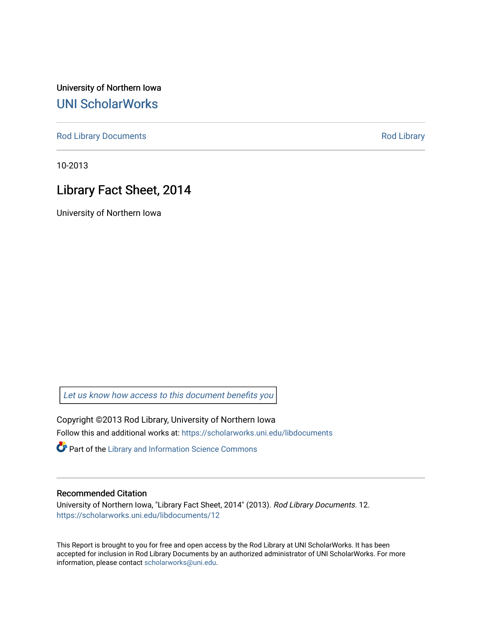University of Northern Iowa [UNI ScholarWorks](https://scholarworks.uni.edu/) 

[Rod Library Documents](https://scholarworks.uni.edu/libdocuments) **[Rod Library](https://scholarworks.uni.edu/lib) Rod Library** 

10-2013

# Library Fact Sheet, 2014

University of Northern Iowa

[Let us know how access to this document benefits you](https://scholarworks.uni.edu/feedback_form.html) 

Copyright ©2013 Rod Library, University of Northern Iowa Follow this and additional works at: [https://scholarworks.uni.edu/libdocuments](https://scholarworks.uni.edu/libdocuments?utm_source=scholarworks.uni.edu%2Flibdocuments%2F12&utm_medium=PDF&utm_campaign=PDFCoverPages) 

**Part of the Library and Information Science Commons** 

#### Recommended Citation

University of Northern Iowa, "Library Fact Sheet, 2014" (2013). Rod Library Documents. 12. [https://scholarworks.uni.edu/libdocuments/12](https://scholarworks.uni.edu/libdocuments/12?utm_source=scholarworks.uni.edu%2Flibdocuments%2F12&utm_medium=PDF&utm_campaign=PDFCoverPages)

This Report is brought to you for free and open access by the Rod Library at UNI ScholarWorks. It has been accepted for inclusion in Rod Library Documents by an authorized administrator of UNI ScholarWorks. For more information, please contact [scholarworks@uni.edu.](mailto:scholarworks@uni.edu)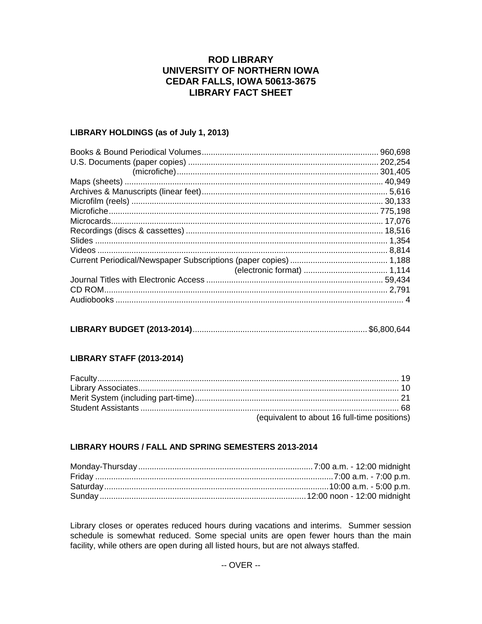## **ROD LIBRARY** UNIVERSITY OF NORTHERN IOWA **CEDAR FALLS, IOWA 50613-3675 LIBRARY FACT SHEET**

#### LIBRARY HOLDINGS (as of July 1, 2013)

| 960,698  |
|----------|
| .202,254 |
| .301,405 |
|          |
|          |
|          |
|          |
|          |
|          |
|          |
|          |
|          |
|          |
|          |
|          |
|          |

### **LIBRARY STAFF (2013-2014)**

| (equivalent to about 16 full-time positions) |
|----------------------------------------------|

#### LIBRARY HOURS / FALL AND SPRING SEMESTERS 2013-2014

Library closes or operates reduced hours during vacations and interims. Summer session schedule is somewhat reduced. Some special units are open fewer hours than the main facility, while others are open during all listed hours, but are not always staffed.